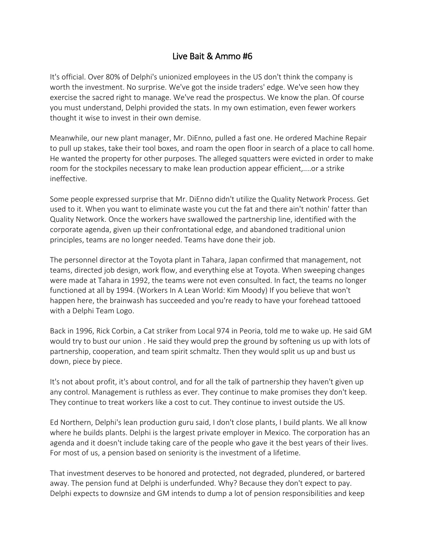## Live Bait & Ammo #6

It's official. Over 80% of Delphi's unionized employees in the US don't think the company is worth the investment. No surprise. We've got the inside traders' edge. We've seen how they exercise the sacred right to manage. We've read the prospectus. We know the plan. Of course you must understand, Delphi provided the stats. In my own estimation, even fewer workers thought it wise to invest in their own demise.

Meanwhile, our new plant manager, Mr. DiEnno, pulled a fast one. He ordered Machine Repair to pull up stakes, take their tool boxes, and roam the open floor in search of a place to call home. He wanted the property for other purposes. The alleged squatters were evicted in order to make room for the stockpiles necessary to make lean production appear efficient,....or a strike ineffective.

Some people expressed surprise that Mr. DiEnno didn't utilize the Quality Network Process. Get used to it. When you want to eliminate waste you cut the fat and there ain't nothin' fatter than Quality Network. Once the workers have swallowed the partnership line, identified with the corporate agenda, given up their confrontational edge, and abandoned traditional union principles, teams are no longer needed. Teams have done their job.

The personnel director at the Toyota plant in Tahara, Japan confirmed that management, not teams, directed job design, work flow, and everything else at Toyota. When sweeping changes were made at Tahara in 1992, the teams were not even consulted. In fact, the teams no longer functioned at all by 1994. (Workers In A Lean World: Kim Moody) If you believe that won't happen here, the brainwash has succeeded and you're ready to have your forehead tattooed with a Delphi Team Logo.

Back in 1996, Rick Corbin, a Cat striker from Local 974 in Peoria, told me to wake up. He said GM would try to bust our union . He said they would prep the ground by softening us up with lots of partnership, cooperation, and team spirit schmaltz. Then they would split us up and bust us down, piece by piece.

It's not about profit, it's about control, and for all the talk of partnership they haven't given up any control. Management is ruthless as ever. They continue to make promises they don't keep. They continue to treat workers like a cost to cut. They continue to invest outside the US.

Ed Northern, Delphi's lean production guru said, I don't close plants, I build plants. We all know where he builds plants. Delphi is the largest private employer in Mexico. The corporation has an agenda and it doesn't include taking care of the people who gave it the best years of their lives. For most of us, a pension based on seniority is the investment of a lifetime.

That investment deserves to be honored and protected, not degraded, plundered, or bartered away. The pension fund at Delphi is underfunded. Why? Because they don't expect to pay. Delphi expects to downsize and GM intends to dump a lot of pension responsibilities and keep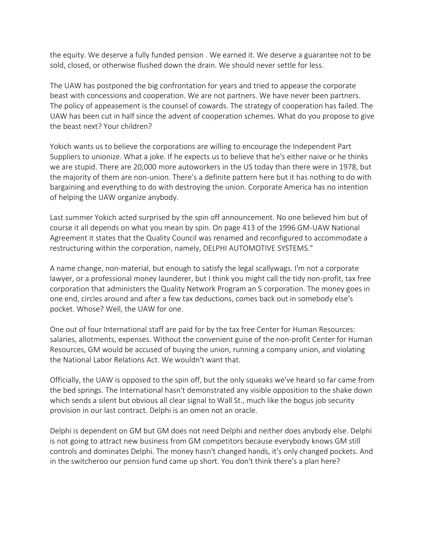the equity. We deserve a fully funded pension . We earned it. We deserve a guarantee not to be sold, closed, or otherwise flushed down the drain. We should never settle for less.

The UAW has postponed the big confrontation for years and tried to appease the corporate beast with concessions and cooperation. We are not partners. We have never been partners. The policy of appeasement is the counsel of cowards. The strategy of cooperation has failed. The UAW has been cut in half since the advent of cooperation schemes. What do you propose to give the beast next? Your children?

Yokich wants us to believe the corporations are willing to encourage the Independent Part Suppliers to unionize. What a joke. If he expects us to believe that he's either naive or he thinks we are stupid. There are 20,000 more autoworkers in the US today than there were in 1978, but the majority of them are non-union. There's a definite pattern here but it has nothing to do with bargaining and everything to do with destroying the union. Corporate America has no intention of helping the UAW organize anybody.

Last summer Yokich acted surprised by the spin off announcement. No one believed him but of course it all depends on what you mean by spin. On page 413 of the 1996 GM-UAW National Agreement it states that the Quality Council was renamed and reconfigured to accommodate a restructuring within the corporation, namely, DELPHI AUTOMOTIVE SYSTEMS."

A name change, non-material, but enough to satisfy the legal scallywags. I'm not a corporate lawyer, or a professional money launderer, but I think you might call the tidy non-profit, tax free corporation that administers the Quality Network Program an S corporation. The money goes in one end, circles around and after a few tax deductions, comes back out in somebody else's pocket. Whose? Well, the UAW for one.

One out of four International staff are paid for by the tax free Center for Human Resources: salaries, allotments, expenses. Without the convenient guise of the non-profit Center for Human Resources, GM would be accused of buying the union, running a company union, and violating the National Labor Relations Act. We wouldn't want that.

Officially, the UAW is opposed to the spin off, but the only squeaks we've heard so far came from the bed springs. The International hasn't demonstrated any visible opposition to the shake down which sends a silent but obvious all clear signal to Wall St., much like the bogus job security provision in our last contract. Delphi is an omen not an oracle.

Delphi is dependent on GM but GM does not need Delphi and neither does anybody else. Delphi is not going to attract new business from GM competitors because everybody knows GM still controls and dominates Delphi. The money hasn't changed hands, it's only changed pockets. And in the switcheroo our pension fund came up short. You don't think there's a plan here?